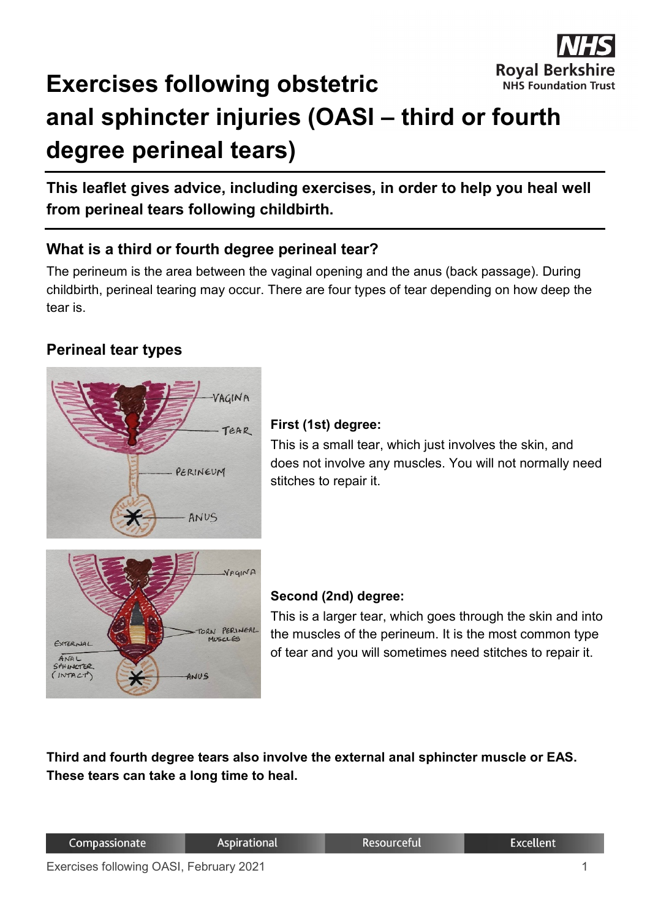

# **Exercises following obstetric anal sphincter injuries (OASI – third or fourth degree perineal tears)**

**This leaflet gives advice, including exercises, in order to help you heal well from perineal tears following childbirth.**

# **What is a third or fourth degree perineal tear?**

The perineum is the area between the vaginal opening and the anus (back passage). During childbirth, perineal tearing may occur. There are four types of tear depending on how deep the tear is.

# **Perineal tear types**



#### **First (1st) degree:**

This is a small tear, which just involves the skin, and does not involve any muscles. You will not normally need stitches to repair it.



#### **Second (2nd) degree:**

This is a larger tear, which goes through the skin and into the muscles of the perineum. It is the most common type of tear and you will sometimes need stitches to repair it.

**Third and fourth degree tears also involve the external anal sphincter muscle or EAS. These tears can take a long time to heal.**

| Compassionate |
|---------------|
|---------------|

Resourceful

**Excellent**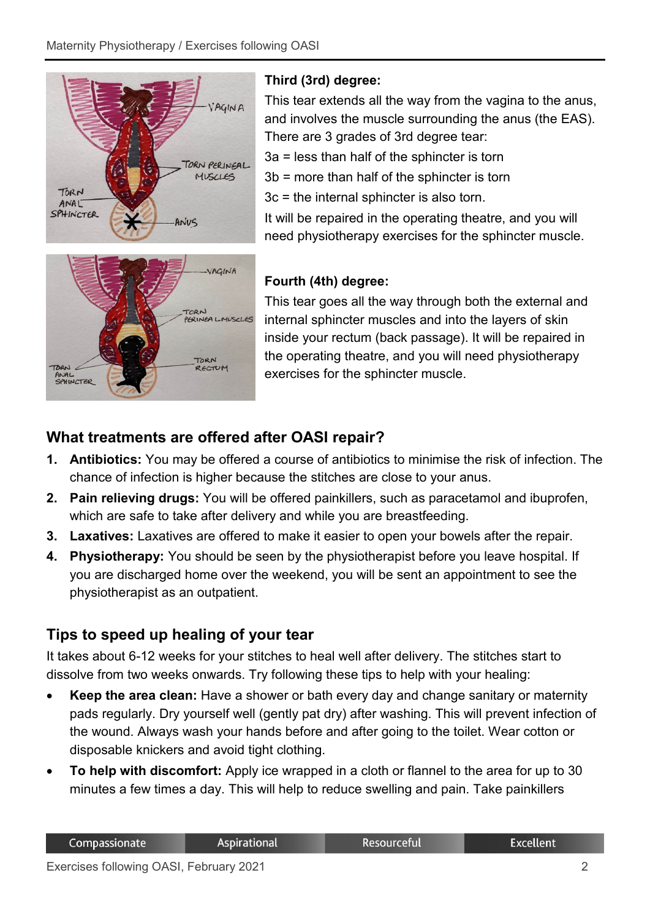

# **Third (3rd) degree:**

This tear extends all the way from the vagina to the anus, and involves the muscle surrounding the anus (the EAS). There are 3 grades of 3rd degree tear:

3a = less than half of the sphincter is torn

3b = more than half of the sphincter is torn

3c = the internal sphincter is also torn.

It will be repaired in the operating theatre, and you will need physiotherapy exercises for the sphincter muscle.



# **Fourth (4th) degree:**

This tear goes all the way through both the external and internal sphincter muscles and into the layers of skin inside your rectum (back passage). It will be repaired in the operating theatre, and you will need physiotherapy exercises for the sphincter muscle.

# **What treatments are offered after OASI repair?**

- **1. Antibiotics:** You may be offered a course of antibiotics to minimise the risk of infection. The chance of infection is higher because the stitches are close to your anus.
- **2. Pain relieving drugs:** You will be offered painkillers, such as paracetamol and ibuprofen, which are safe to take after delivery and while you are breastfeeding.
- **3. Laxatives:** Laxatives are offered to make it easier to open your bowels after the repair.
- **4. Physiotherapy:** You should be seen by the physiotherapist before you leave hospital. If you are discharged home over the weekend, you will be sent an appointment to see the physiotherapist as an outpatient.

# **Tips to speed up healing of your tear**

It takes about 6-12 weeks for your stitches to heal well after delivery. The stitches start to dissolve from two weeks onwards. Try following these tips to help with your healing:

- **Keep the area clean:** Have a shower or bath every day and change sanitary or maternity pads regularly. Dry yourself well (gently pat dry) after washing. This will prevent infection of the wound. Always wash your hands before and after going to the toilet. Wear cotton or disposable knickers and avoid tight clothing.
- **To help with discomfort:** Apply ice wrapped in a cloth or flannel to the area for up to 30 minutes a few times a day. This will help to reduce swelling and pain. Take painkillers

Resourceful

**Excellent**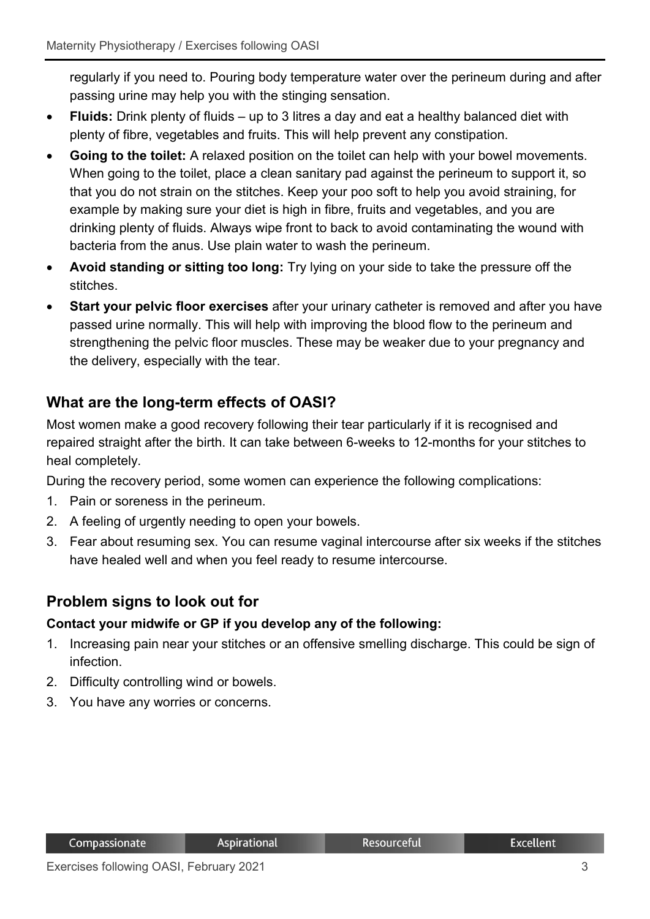regularly if you need to. Pouring body temperature water over the perineum during and after passing urine may help you with the stinging sensation.

- **Fluids:** Drink plenty of fluids up to 3 litres a day and eat a healthy balanced diet with plenty of fibre, vegetables and fruits. This will help prevent any constipation.
- **Going to the toilet:** A relaxed position on the toilet can help with your bowel movements. When going to the toilet, place a clean sanitary pad against the perineum to support it, so that you do not strain on the stitches. Keep your poo soft to help you avoid straining, for example by making sure your diet is high in fibre, fruits and vegetables, and you are drinking plenty of fluids. Always wipe front to back to avoid contaminating the wound with bacteria from the anus. Use plain water to wash the perineum.
- **Avoid standing or sitting too long:** Try lying on your side to take the pressure off the stitches.
- **Start your pelvic floor exercises** after your urinary catheter is removed and after you have passed urine normally. This will help with improving the blood flow to the perineum and strengthening the pelvic floor muscles. These may be weaker due to your pregnancy and the delivery, especially with the tear.

# **What are the long-term effects of OASI?**

Most women make a good recovery following their tear particularly if it is recognised and repaired straight after the birth. It can take between 6-weeks to 12-months for your stitches to heal completely.

During the recovery period, some women can experience the following complications:

- 1. Pain or soreness in the perineum.
- 2. A feeling of urgently needing to open your bowels.
- 3. Fear about resuming sex. You can resume vaginal intercourse after six weeks if the stitches have healed well and when you feel ready to resume intercourse.

# **Problem signs to look out for**

#### **Contact your midwife or GP if you develop any of the following:**

- 1. Increasing pain near your stitches or an offensive smelling discharge. This could be sign of infection.
- 2. Difficulty controlling wind or bowels.
- 3. You have any worries or concerns.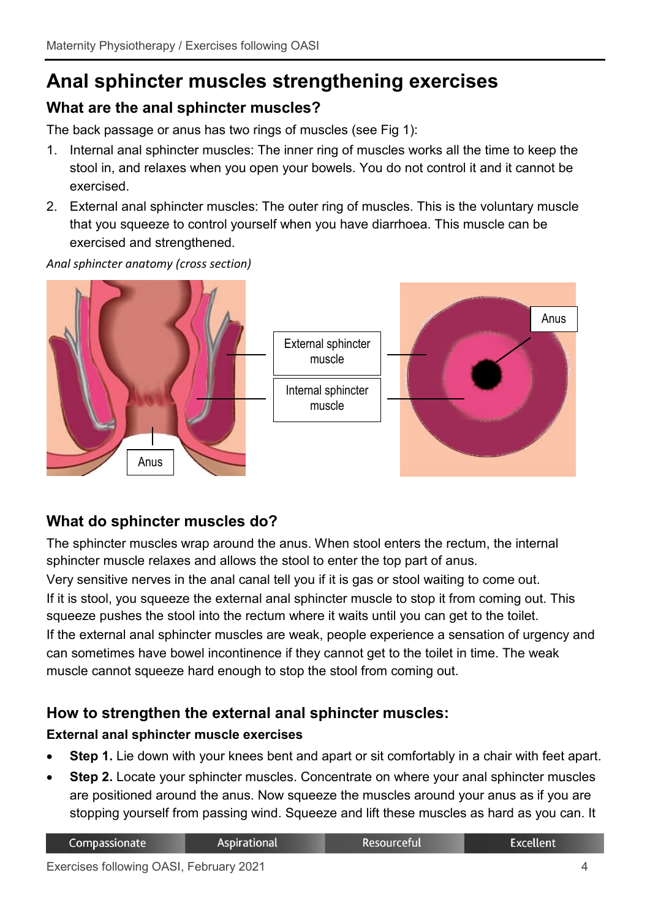# **Anal sphincter muscles strengthening exercises**

# **What are the anal sphincter muscles?**

The back passage or anus has two rings of muscles (see Fig 1):

- 1. Internal anal sphincter muscles: The inner ring of muscles works all the time to keep the stool in, and relaxes when you open your bowels. You do not control it and it cannot be exercised.
- 2. External anal sphincter muscles: The outer ring of muscles. This is the voluntary muscle that you squeeze to control yourself when you have diarrhoea. This muscle can be exercised and strengthened.

*Anal sphincter anatomy (cross section)*



# **What do sphincter muscles do?**

The sphincter muscles wrap around the anus. When stool enters the rectum, the internal sphincter muscle relaxes and allows the stool to enter the top part of anus. Very sensitive nerves in the anal canal tell you if it is gas or stool waiting to come out. If it is stool, you squeeze the external anal sphincter muscle to stop it from coming out. This squeeze pushes the stool into the rectum where it waits until you can get to the toilet. If the external anal sphincter muscles are weak, people experience a sensation of urgency and can sometimes have bowel incontinence if they cannot get to the toilet in time. The weak muscle cannot squeeze hard enough to stop the stool from coming out.

# **How to strengthen the external anal sphincter muscles:**

#### **External anal sphincter muscle exercises**

- **Step 1.** Lie down with your knees bent and apart or sit comfortably in a chair with feet apart.
- **Step 2.** Locate your sphincter muscles. Concentrate on where your anal sphincter muscles are positioned around the anus. Now squeeze the muscles around your anus as if you are stopping yourself from passing wind. Squeeze and lift these muscles as hard as you can. It

| Compassionate | <b>Aspirational</b> | <b>Resourceful</b> | Excellent <sup>1</sup> |
|---------------|---------------------|--------------------|------------------------|
|               |                     |                    |                        |